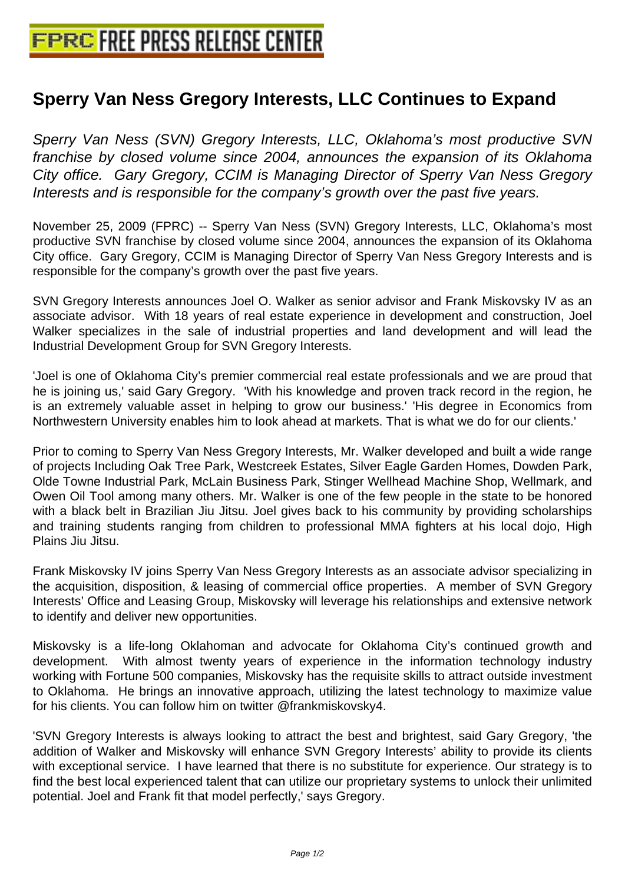## **[Sperry Van Ness Gregory Interests](http://www.free-press-release-center.info), LLC Continues to Expand**

Sperry Van Ness (SVN) Gregory Interests, LLC, Oklahoma's most productive SVN franchise by closed volume since 2004, announces the expansion of its Oklahoma City office. Gary Gregory, CCIM is Managing Director of Sperry Van Ness Gregory Interests and is responsible for the company's growth over the past five years.

November 25, 2009 (FPRC) -- Sperry Van Ness (SVN) Gregory Interests, LLC, Oklahoma's most productive SVN franchise by closed volume since 2004, announces the expansion of its Oklahoma City office. Gary Gregory, CCIM is Managing Director of Sperry Van Ness Gregory Interests and is responsible for the company's growth over the past five years.

SVN Gregory Interests announces Joel O. Walker as senior advisor and Frank Miskovsky IV as an associate advisor. With 18 years of real estate experience in development and construction, Joel Walker specializes in the sale of industrial properties and land development and will lead the Industrial Development Group for SVN Gregory Interests.

'Joel is one of Oklahoma City's premier commercial real estate professionals and we are proud that he is joining us,' said Gary Gregory. 'With his knowledge and proven track record in the region, he is an extremely valuable asset in helping to grow our business.' 'His degree in Economics from Northwestern University enables him to look ahead at markets. That is what we do for our clients.'

Prior to coming to Sperry Van Ness Gregory Interests, Mr. Walker developed and built a wide range of projects Including Oak Tree Park, Westcreek Estates, Silver Eagle Garden Homes, Dowden Park, Olde Towne Industrial Park, McLain Business Park, Stinger Wellhead Machine Shop, Wellmark, and Owen Oil Tool among many others. Mr. Walker is one of the few people in the state to be honored with a black belt in Brazilian Jiu Jitsu. Joel gives back to his community by providing scholarships and training students ranging from children to professional MMA fighters at his local dojo, High Plains Jiu Jitsu.

Frank Miskovsky IV joins Sperry Van Ness Gregory Interests as an associate advisor specializing in the acquisition, disposition, & leasing of commercial office properties. A member of SVN Gregory Interests' Office and Leasing Group, Miskovsky will leverage his relationships and extensive network to identify and deliver new opportunities.

Miskovsky is a life-long Oklahoman and advocate for Oklahoma City's continued growth and development. With almost twenty years of experience in the information technology industry working with Fortune 500 companies, Miskovsky has the requisite skills to attract outside investment to Oklahoma. He brings an innovative approach, utilizing the latest technology to maximize value for his clients. You can follow him on twitter @frankmiskovsky4.

'SVN Gregory Interests is always looking to attract the best and brightest, said Gary Gregory, 'the addition of Walker and Miskovsky will enhance SVN Gregory Interests' ability to provide its clients with exceptional service. I have learned that there is no substitute for experience. Our strategy is to find the best local experienced talent that can utilize our proprietary systems to unlock their unlimited potential. Joel and Frank fit that model perfectly,' says Gregory.